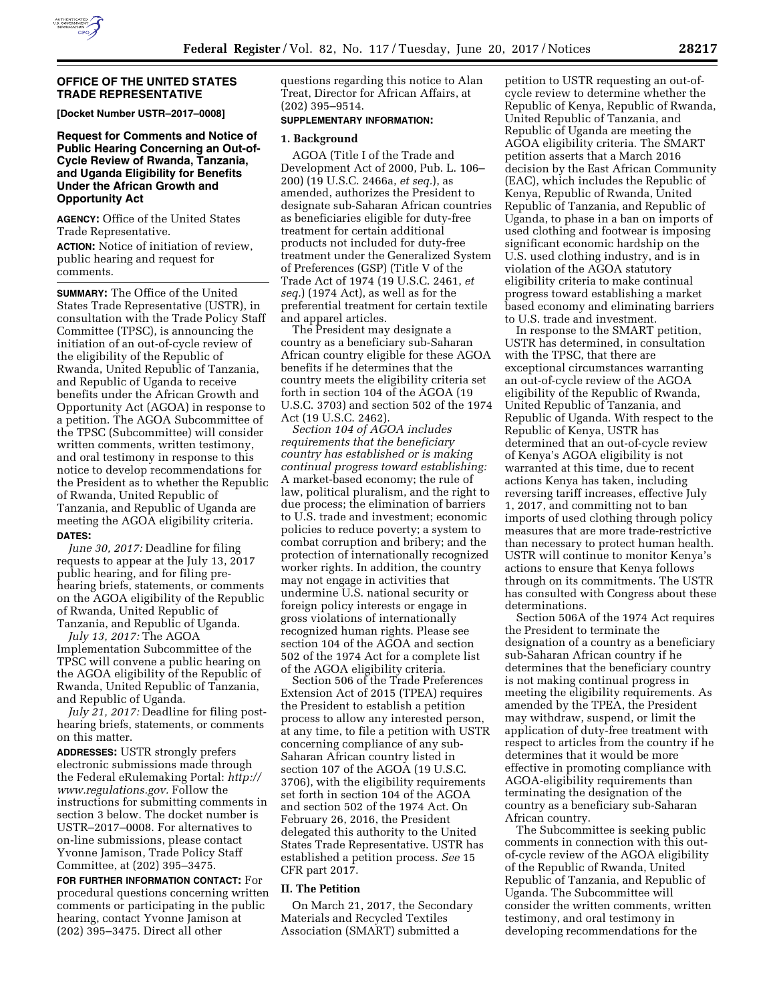

## **OFFICE OF THE UNITED STATES TRADE REPRESENTATIVE**

**[Docket Number USTR–2017–0008]** 

## **Request for Comments and Notice of Public Hearing Concerning an Out-of-Cycle Review of Rwanda, Tanzania, and Uganda Eligibility for Benefits Under the African Growth and Opportunity Act**

**AGENCY:** Office of the United States Trade Representative.

**ACTION:** Notice of initiation of review, public hearing and request for comments.

**SUMMARY:** The Office of the United States Trade Representative (USTR), in consultation with the Trade Policy Staff Committee (TPSC), is announcing the initiation of an out-of-cycle review of the eligibility of the Republic of Rwanda, United Republic of Tanzania, and Republic of Uganda to receive benefits under the African Growth and Opportunity Act (AGOA) in response to a petition. The AGOA Subcommittee of the TPSC (Subcommittee) will consider written comments, written testimony, and oral testimony in response to this notice to develop recommendations for the President as to whether the Republic of Rwanda, United Republic of Tanzania, and Republic of Uganda are meeting the AGOA eligibility criteria. **DATES:** 

*June 30, 2017:* Deadline for filing requests to appear at the July 13, 2017 public hearing, and for filing prehearing briefs, statements, or comments on the AGOA eligibility of the Republic of Rwanda, United Republic of Tanzania, and Republic of Uganda.

*July 13, 2017:* The AGOA Implementation Subcommittee of the TPSC will convene a public hearing on the AGOA eligibility of the Republic of Rwanda, United Republic of Tanzania, and Republic of Uganda.

*July 21, 2017:* Deadline for filing posthearing briefs, statements, or comments on this matter.

**ADDRESSES:** USTR strongly prefers electronic submissions made through the Federal eRulemaking Portal: *[http://](http://www.regulations.gov) [www.regulations.gov.](http://www.regulations.gov)* Follow the instructions for submitting comments in section 3 below. The docket number is USTR–2017–0008. For alternatives to on-line submissions, please contact Yvonne Jamison, Trade Policy Staff Committee, at (202) 395–3475.

**FOR FURTHER INFORMATION CONTACT:** For procedural questions concerning written comments or participating in the public hearing, contact Yvonne Jamison at (202) 395–3475. Direct all other

questions regarding this notice to Alan Treat, Director for African Affairs, at (202) 395–9514.

#### **SUPPLEMENTARY INFORMATION:**

#### **1. Background**

AGOA (Title I of the Trade and Development Act of 2000, Pub. L. 106– 200) (19 U.S.C. 2466a, *et seq.*), as amended, authorizes the President to designate sub-Saharan African countries as beneficiaries eligible for duty-free treatment for certain additional products not included for duty-free treatment under the Generalized System of Preferences (GSP) (Title V of the Trade Act of 1974 (19 U.S.C. 2461, *et seq.*) (1974 Act), as well as for the preferential treatment for certain textile and apparel articles.

The President may designate a country as a beneficiary sub-Saharan African country eligible for these AGOA benefits if he determines that the country meets the eligibility criteria set forth in section 104 of the AGOA (19 U.S.C. 3703) and section 502 of the 1974 Act (19 U.S.C. 2462).

*Section 104 of AGOA includes requirements that the beneficiary country has established or is making continual progress toward establishing:*  A market-based economy; the rule of law, political pluralism, and the right to due process; the elimination of barriers to U.S. trade and investment; economic policies to reduce poverty; a system to combat corruption and bribery; and the protection of internationally recognized worker rights. In addition, the country may not engage in activities that undermine U.S. national security or foreign policy interests or engage in gross violations of internationally recognized human rights. Please see section 104 of the AGOA and section 502 of the 1974 Act for a complete list of the AGOA eligibility criteria.

Section 506 of the Trade Preferences Extension Act of 2015 (TPEA) requires the President to establish a petition process to allow any interested person, at any time, to file a petition with USTR concerning compliance of any sub-Saharan African country listed in section 107 of the AGOA (19 U.S.C. 3706), with the eligibility requirements set forth in section 104 of the AGOA and section 502 of the 1974 Act. On February 26, 2016, the President delegated this authority to the United States Trade Representative. USTR has established a petition process. *See* 15 CFR part 2017.

# **II. The Petition**

On March 21, 2017, the Secondary Materials and Recycled Textiles Association (SMART) submitted a

petition to USTR requesting an out-ofcycle review to determine whether the Republic of Kenya, Republic of Rwanda, United Republic of Tanzania, and Republic of Uganda are meeting the AGOA eligibility criteria. The SMART petition asserts that a March 2016 decision by the East African Community (EAC), which includes the Republic of Kenya, Republic of Rwanda, United Republic of Tanzania, and Republic of Uganda, to phase in a ban on imports of used clothing and footwear is imposing significant economic hardship on the U.S. used clothing industry, and is in violation of the AGOA statutory eligibility criteria to make continual progress toward establishing a market based economy and eliminating barriers to U.S. trade and investment.

In response to the SMART petition, USTR has determined, in consultation with the TPSC, that there are exceptional circumstances warranting an out-of-cycle review of the AGOA eligibility of the Republic of Rwanda, United Republic of Tanzania, and Republic of Uganda. With respect to the Republic of Kenya, USTR has determined that an out-of-cycle review of Kenya's AGOA eligibility is not warranted at this time, due to recent actions Kenya has taken, including reversing tariff increases, effective July 1, 2017, and committing not to ban imports of used clothing through policy measures that are more trade-restrictive than necessary to protect human health. USTR will continue to monitor Kenya's actions to ensure that Kenya follows through on its commitments. The USTR has consulted with Congress about these determinations.

Section 506A of the 1974 Act requires the President to terminate the designation of a country as a beneficiary sub-Saharan African country if he determines that the beneficiary country is not making continual progress in meeting the eligibility requirements. As amended by the TPEA, the President may withdraw, suspend, or limit the application of duty-free treatment with respect to articles from the country if he determines that it would be more effective in promoting compliance with AGOA-eligibility requirements than terminating the designation of the country as a beneficiary sub-Saharan African country.

The Subcommittee is seeking public comments in connection with this outof-cycle review of the AGOA eligibility of the Republic of Rwanda, United Republic of Tanzania, and Republic of Uganda. The Subcommittee will consider the written comments, written testimony, and oral testimony in developing recommendations for the